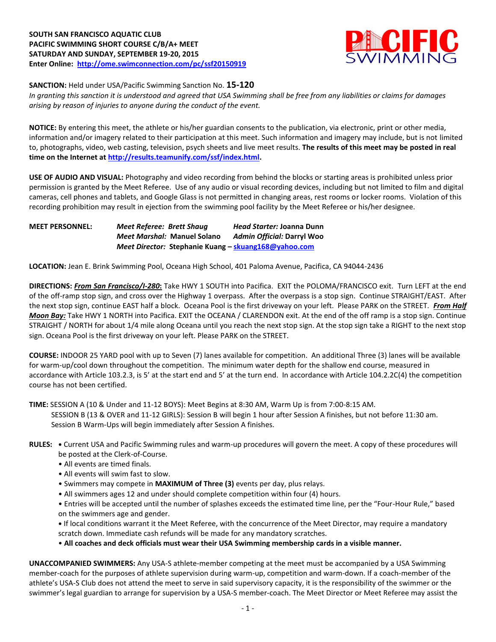

**SANCTION:** Held under USA/Pacific Swimming Sanction No. **15-120**

*In granting this sanction it is understood and agreed that USA Swimming shall be free from any liabilities or claims for damages arising by reason of injuries to anyone during the conduct of the event.*

**NOTICE:** By entering this meet, the athlete or his/her guardian consents to the publication, via electronic, print or other media, information and/or imagery related to their participation at this meet. Such information and imagery may include, but is not limited to, photographs, video, web casting, television, psych sheets and live meet results. **The results of this meet may be posted in real time on the Internet a[t http://results.teamunify.com/ssf/index.html.](http://results.teamunify.com/ssf/index.html)**

**USE OF AUDIO AND VISUAL:** Photography and video recording from behind the blocks or starting areas is prohibited unless prior permission is granted by the Meet Referee. Use of any audio or visual recording devices, including but not limited to film and digital cameras, cell phones and tablets, and Google Glass is not permitted in changing areas, rest rooms or locker rooms. Violation of this recording prohibition may result in ejection from the swimming pool facility by the Meet Referee or his/her designee.

**MEET PERSONNEL:** *Meet Referee: Brett Shaug Head Starter:* **Joanna Dunn** *Meet Marshal:* **Manuel Solano** *Admin Official:* **Darryl Woo** *Meet Director:* **Stephanie Kuang – [skuang168@yahoo.com](mailto:skuang168@yahoo.com)**

**LOCATION:** Jean E. Brink Swimming Pool, Oceana High School, 401 Paloma Avenue, Pacifica, CA 94044-2436

**DIRECTIONS:** *From San Francisco/I-280***:** Take HWY 1 SOUTH into Pacifica. EXIT the POLOMA/FRANCISCO exit. Turn LEFT at the end of the off-ramp stop sign, and cross over the Highway 1 overpass. After the overpass is a stop sign. Continue STRAIGHT/EAST. After the next stop sign, continue EAST half a block. Oceana Pool is the first driveway on your left. Please PARK on the STREET. *From Half Moon Bay:* Take HWY 1 NORTH into Pacifica. EXIT the OCEANA / CLARENDON exit. At the end of the off ramp is a stop sign. Continue STRAIGHT / NORTH for about 1/4 mile along Oceana until you reach the next stop sign. At the stop sign take a RIGHT to the next stop sign. Oceana Pool is the first driveway on your left. Please PARK on the STREET.

**COURSE:** INDOOR 25 YARD pool with up to Seven (7) lanes available for competition. An additional Three (3) lanes will be available for warm-up/cool down throughout the competition. The minimum water depth for the shallow end course, measured in accordance with Article 103.2.3, is 5' at the start end and 5' at the turn end. In accordance with Article 104.2.2C(4) the competition course has not been certified.

**TIME:** SESSION A (10 & Under and 11-12 BOYS): Meet Begins at 8:30 AM, Warm Up is from 7:00-8:15 AM.

 SESSION B (13 & OVER and 11-12 GIRLS): Session B will begin 1 hour after Session A finishes, but not before 11:30 am. Session B Warm-Ups will begin immediately after Session A finishes.

- **RULES: •** Current USA and Pacific Swimming rules and warm-up procedures will govern the meet. A copy of these procedures will be posted at the Clerk-of-Course.
	- All events are timed finals.
	- All events will swim fast to slow.
	- Swimmers may compete in **MAXIMUM of Three (3)** events per day, plus relays.
	- All swimmers ages 12 and under should complete competition within four (4) hours.
	- Entries will be accepted until the number of splashes exceeds the estimated time line, per the "Four-Hour Rule," based on the swimmers age and gender.

**•** If local conditions warrant it the Meet Referee, with the concurrence of the Meet Director, may require a mandatory scratch down. Immediate cash refunds will be made for any mandatory scratches.

• **All coaches and deck officials must wear their USA Swimming membership cards in a visible manner.** 

**UNACCOMPANIED SWIMMERS:** Any USA-S athlete-member competing at the meet must be accompanied by a USA Swimming member-coach for the purposes of athlete supervision during warm-up, competition and warm-down. If a coach-member of the athlete's USA-S Club does not attend the meet to serve in said supervisory capacity, it is the responsibility of the swimmer or the swimmer's legal guardian to arrange for supervision by a USA-S member-coach. The Meet Director or Meet Referee may assist the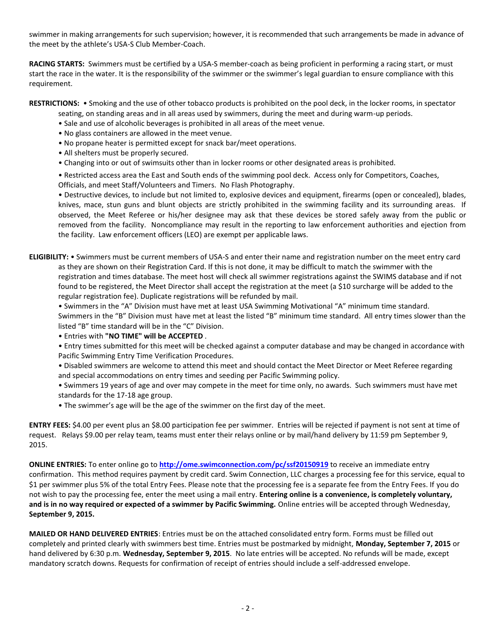swimmer in making arrangements for such supervision; however, it is recommended that such arrangements be made in advance of the meet by the athlete's USA-S Club Member-Coach.

**RACING STARTS:** Swimmers must be certified by a USA-S member-coach as being proficient in performing a racing start, or must start the race in the water. It is the responsibility of the swimmer or the swimmer's legal guardian to ensure compliance with this requirement.

**RESTRICTIONS:** • Smoking and the use of other tobacco products is prohibited on the pool deck, in the locker rooms, in spectator

- seating, on standing areas and in all areas used by swimmers, during the meet and during warm-up periods.
- Sale and use of alcoholic beverages is prohibited in all areas of the meet venue.
- No glass containers are allowed in the meet venue.
- No propane heater is permitted except for snack bar/meet operations.
- All shelters must be properly secured.
- Changing into or out of swimsuits other than in locker rooms or other designated areas is prohibited.

• Restricted access area the East and South ends of the swimming pool deck. Access only for Competitors, Coaches, Officials, and meet Staff/Volunteers and Timers. No Flash Photography.

• Destructive devices, to include but not limited to, explosive devices and equipment, firearms (open or concealed), blades, knives, mace, stun guns and blunt objects are strictly prohibited in the swimming facility and its surrounding areas. If observed, the Meet Referee or his/her designee may ask that these devices be stored safely away from the public or removed from the facility. Noncompliance may result in the reporting to law enforcement authorities and ejection from the facility. Law enforcement officers (LEO) are exempt per applicable laws.

**ELIGIBILITY:** • Swimmers must be current members of USA-S and enter their name and registration number on the meet entry card as they are shown on their Registration Card. If this is not done, it may be difficult to match the swimmer with the registration and times database. The meet host will check all swimmer registrations against the SWIMS database and if not found to be registered, the Meet Director shall accept the registration at the meet (a \$10 surcharge will be added to the regular registration fee). Duplicate registrations will be refunded by mail.

• Swimmers in the "A" Division must have met at least USA Swimming Motivational "A" minimum time standard. Swimmers in the "B" Division must have met at least the listed "B" minimum time standard. All entry times slower than the listed "B" time standard will be in the "C" Division.

• Entries with **"NO TIME" will be ACCEPTED** .

• Entry times submitted for this meet will be checked against a computer database and may be changed in accordance with Pacific Swimming Entry Time Verification Procedures.

- Disabled swimmers are welcome to attend this meet and should contact the Meet Director or Meet Referee regarding and special accommodations on entry times and seeding per Pacific Swimming policy.
- Swimmers 19 years of age and over may compete in the meet for time only, no awards. Such swimmers must have met standards for the 17-18 age group.
- The swimmer's age will be the age of the swimmer on the first day of the meet.

**ENTRY FEES:** \$4.00 per event plus an \$8.00 participation fee per swimmer. Entries will be rejected if payment is not sent at time of request. Relays \$9.00 per relay team, teams must enter their relays online or by mail/hand delivery by 11:59 pm September 9, 2015.

**ONLINE ENTRIES:** To enter online go to **<http://ome.swimconnection.com/pc/ssf20150919>** to receive an immediate entry confirmation. This method requires payment by credit card. Swim Connection, LLC charges a processing fee for this service, equal to \$1 per swimmer plus 5% of the total Entry Fees. Please note that the processing fee is a separate fee from the Entry Fees. If you do not wish to pay the processing fee, enter the meet using a mail entry. **Entering online is a convenience, is completely voluntary, and is in no way required or expected of a swimmer by Pacific Swimming.** Online entries will be accepted through Wednesday, **September 9, 2015.**

**MAILED OR HAND DELIVERED ENTRIES**: Entries must be on the attached consolidated entry form. Forms must be filled out completely and printed clearly with swimmers best time. Entries must be postmarked by midnight, **Monday, September 7, 2015** or hand delivered by 6:30 p.m. **Wednesday, September 9, 2015**. No late entries will be accepted. No refunds will be made, except mandatory scratch downs. Requests for confirmation of receipt of entries should include a self-addressed envelope.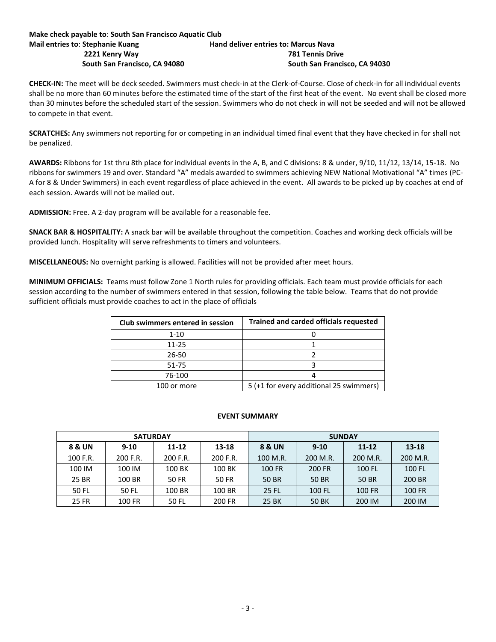## **Make check payable to**: **South San Francisco Aquatic Club Mail entries to: Stephanie Kuang Hand deliver entries to: Marcus Nava 2221 Kenry Way 781 Tennis Drive South San Francisco, CA 94080 South San Francisco, CA 94030**

**CHECK-IN:** The meet will be deck seeded. Swimmers must check-in at the Clerk-of-Course. Close of check-in for all individual events shall be no more than 60 minutes before the estimated time of the start of the first heat of the event. No event shall be closed more than 30 minutes before the scheduled start of the session. Swimmers who do not check in will not be seeded and will not be allowed to compete in that event.

**SCRATCHES:** Any swimmers not reporting for or competing in an individual timed final event that they have checked in for shall not be penalized.

**AWARDS:** Ribbons for 1st thru 8th place for individual events in the A, B, and C divisions: 8 & under, 9/10, 11/12, 13/14, 15-18. No ribbons for swimmers 19 and over. Standard "A" medals awarded to swimmers achieving NEW National Motivational "A" times (PC-A for 8 & Under Swimmers) in each event regardless of place achieved in the event. All awards to be picked up by coaches at end of each session. Awards will not be mailed out.

**ADMISSION:** Free. A 2-day program will be available for a reasonable fee.

**SNACK BAR & HOSPITALITY:** A snack bar will be available throughout the competition. Coaches and working deck officials will be provided lunch. Hospitality will serve refreshments to timers and volunteers.

**MISCELLANEOUS:** No overnight parking is allowed. Facilities will not be provided after meet hours.

**MINIMUM OFFICIALS:** Teams must follow Zone 1 North rules for providing officials. Each team must provide officials for each session according to the number of swimmers entered in that session, following the table below. Teams that do not provide sufficient officials must provide coaches to act in the place of officials

| Club swimmers entered in session | <b>Trained and carded officials requested</b> |
|----------------------------------|-----------------------------------------------|
| $1 - 10$                         |                                               |
| 11-25                            |                                               |
| 26-50                            |                                               |
| $51 - 75$                        |                                               |
| 76-100                           |                                               |
| 100 or more                      | 5 (+1 for every additional 25 swimmers)       |

## **EVENT SUMMARY**

|              | <b>SATURDAY</b> |           |          | <b>SUNDAY</b> |          |           |               |  |
|--------------|-----------------|-----------|----------|---------------|----------|-----------|---------------|--|
| 8 & UN       | $9 - 10$        | $11 - 12$ | 13-18    | 8 & UN        | $9 - 10$ | $11 - 12$ | $13 - 18$     |  |
| 100 F.R.     | 200 F.R.        | 200 F.R.  | 200 F.R. | 100 M.R.      | 200 M.R. | 200 M.R.  | 200 M.R.      |  |
| 100 IM       | 100 IM          | 100 BK    | 100 BK   | 100 FR        | 200 FR   | 100 FL    | 100 FL        |  |
| 25 BR        | 100 BR          | 50 FR     | 50 FR    | <b>50 BR</b>  | 50 BR    | 50 BR     | 200 BR        |  |
| 50 FL        | 50 FL           | 100 BR    | 100 BR   | 25 FL         | 100 FL   | 100 FR    | <b>100 FR</b> |  |
| <b>25 FR</b> | 100 FR          | 50 FL     | 200 FR   | <b>25 BK</b>  | 50 BK    | 200 IM    | 200 IM        |  |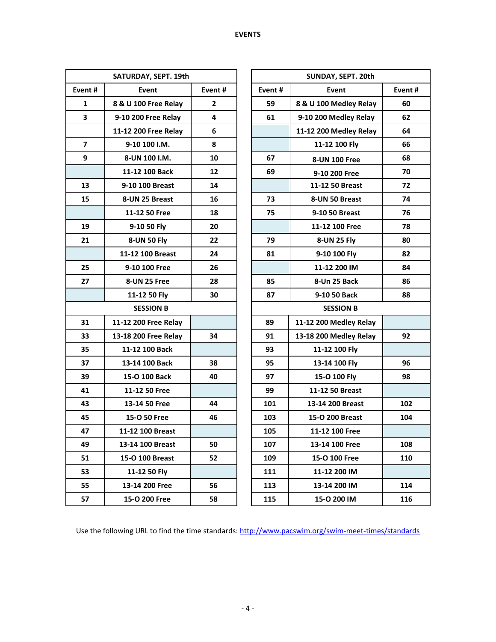|                | SATURDAY, SEPT. 19th |        | SUNDAY, SEPT. 20th |                        |       |  |
|----------------|----------------------|--------|--------------------|------------------------|-------|--|
| Event#         | Event                | Event# | Event#             | Event                  | Event |  |
| 1              | 8 & U 100 Free Relay | 2      | 59                 | 8 & U 100 Medley Relay | 60    |  |
| $\mathbf{3}$   | 9-10 200 Free Relay  | 4      | 61                 | 9-10 200 Medley Relay  | 62    |  |
|                | 11-12 200 Free Relay | 6      |                    | 11-12 200 Medley Relay | 64    |  |
| $\overline{7}$ | 9-10 100 I.M.        | 8      |                    | 11-12 100 Fly          | 66    |  |
| 9              | 8-UN 100 I.M.        | 10     | 67                 | <b>8-UN 100 Free</b>   | 68    |  |
|                | 11-12 100 Back       | 12     | 69                 | 9-10 200 Free          | 70    |  |
| 13             | 9-10 100 Breast      | 14     |                    | 11-12 50 Breast        | 72    |  |
| 15             | 8-UN 25 Breast       | 16     | 73                 | 8-UN 50 Breast         | 74    |  |
|                | 11-12 50 Free        | 18     | 75                 | 9-10 50 Breast         | 76    |  |
| 19             | 9-10 50 Fly          | 20     |                    | 11-12 100 Free         | 78    |  |
| 21             | 8-UN 50 Fly          | 22     | 79                 | 8-UN 25 Fly            | 80    |  |
|                | 11-12 100 Breast     | 24     | 81                 | 9-10 100 Fly           | 82    |  |
| 25             | 9-10 100 Free        | 26     |                    | 11-12 200 IM           | 84    |  |
| 27             | 8-UN 25 Free         | 28     | 85                 | 8-Un 25 Back           | 86    |  |
|                | 11-12 50 Fly         | 30     | 87                 | 9-10 50 Back           | 88    |  |
|                | <b>SESSION B</b>     |        |                    | <b>SESSION B</b>       |       |  |
| 31             | 11-12 200 Free Relay |        | 89                 | 11-12 200 Medley Relay |       |  |
| 33             | 13-18 200 Free Relay | 34     | 91                 | 13-18 200 Medley Relay | 92    |  |
| 35             | 11-12 100 Back       |        | 93                 | 11-12 100 Fly          |       |  |
| 37             | 13-14 100 Back       | 38     | 95                 | 13-14 100 Fly          | 96    |  |
| 39             | 15-O 100 Back        | 40     | 97                 | 15-O 100 Fly           | 98    |  |
| 41             | 11-12 50 Free        |        | 99                 | 11-12 50 Breast        |       |  |
| 43             | 13-14 50 Free        | 44     | 101                | 13-14 200 Breast       | 102   |  |
| 45             | 15-O 50 Free         | 46     | 103                | 15-O 200 Breast        | 104   |  |
| 47             | 11-12 100 Breast     |        | 105                | 11-12 100 Free         |       |  |
| 49             | 13-14 100 Breast     | 50     | 107                | 13-14 100 Free         | 108   |  |
| 51             | 15-O 100 Breast      | 52     | 109                | 15-O 100 Free          | 110   |  |
| 53             | 11-12 50 Fly         |        | 111                | 11-12 200 IM           |       |  |
| 55             | 13-14 200 Free       | 56     | 113                | 13-14 200 IM           | 114   |  |
| 57             | 15-O 200 Free        | 58     | 115                | 15-O 200 IM            | 116   |  |

|              | SATURDAY, SEPT. 19th |                         | SUNDAY, SEPT. 20th |                        |        |
|--------------|----------------------|-------------------------|--------------------|------------------------|--------|
| Event#       | Event                | Event#                  | Event#             | Event                  | Event# |
| $\mathbf{1}$ | 8 & U 100 Free Relay | $\mathbf{2}$            | 59                 | 8 & U 100 Medley Relay | 60     |
| 3            | 9-10 200 Free Relay  | $\overline{\mathbf{4}}$ | 61                 | 9-10 200 Medley Relay  | 62     |
|              | 11-12 200 Free Relay | 6                       |                    | 11-12 200 Medley Relay | 64     |
| 7            | 9-10 100 I.M.        | 8                       |                    | 11-12 100 Fly          | 66     |
| 9            | 8-UN 100 I.M.        | 10                      | 67                 | 8-UN 100 Free          | 68     |
|              | 11-12 100 Back       | $12 \overline{ }$       | 69                 | 9-10 200 Free          | 70     |
| 13           | 9-10 100 Breast      | 14                      |                    | 11-12 50 Breast        | 72     |
| 15           | 8-UN 25 Breast       | 16                      | 73                 | 8-UN 50 Breast         | 74     |
|              | 11-12 50 Free        | 18                      | 75                 | 9-10 50 Breast         | 76     |
| 19           | 9-10 50 Fly          | 20                      |                    | 11-12 100 Free         | 78     |
| 21           | 8-UN 50 Fly          | 22                      | 79                 | 8-UN 25 Fly            | 80     |
|              | 11-12 100 Breast     | 24                      | 81                 | 9-10 100 Fly           | 82     |
| 25           | 9-10 100 Free        | 26                      |                    | 11-12 200 IM           | 84     |
| 27           | 8-UN 25 Free         | 28                      | 85                 | 8-Un 25 Back           | 86     |
|              | 11-12 50 Fly         | 30                      | 87                 | 9-10 50 Back           | 88     |
|              | <b>SESSION B</b>     |                         |                    | <b>SESSION B</b>       |        |
| 31           | 11-12 200 Free Relay |                         | 89                 | 11-12 200 Medley Relay |        |
| 33           | 13-18 200 Free Relay | 34                      | 91                 | 13-18 200 Medley Relay | 92     |
| 35           | 11-12 100 Back       |                         | 93                 | 11-12 100 Fly          |        |
| 37           | 13-14 100 Back       | 38                      | 95                 | 13-14 100 Fly          | 96     |
| 39           | 15-O 100 Back        | 40                      | 97                 | 15-O 100 Fly           | 98     |
| 41           | 11-12 50 Free        |                         | 99                 | 11-12 50 Breast        |        |
| 43           | 13-14 50 Free        | 44                      | 101                | 13-14 200 Breast       | 102    |
| 45           | 15-O 50 Free         | 46                      | 103                | 15-O 200 Breast        | 104    |
| 47           | 11-12 100 Breast     |                         | 105                | 11-12 100 Free         |        |
| 49           | 13-14 100 Breast     | 50                      | 107                | 13-14 100 Free         | 108    |
| 51           | 15-O 100 Breast      | 52                      | 109                | 15-O 100 Free          | 110    |
| 53           | 11-12 50 Fly         |                         | 111                | 11-12 200 IM           |        |
| 55           | 13-14 200 Free       | 56                      | 113                | 13-14 200 IM           | 114    |
| 57           | 15-O 200 Free        | 58                      | 115                | 15-O 200 IM            | 116    |

Use the following URL to find the time standards: <http://www.pacswim.org/swim-meet-times/standards>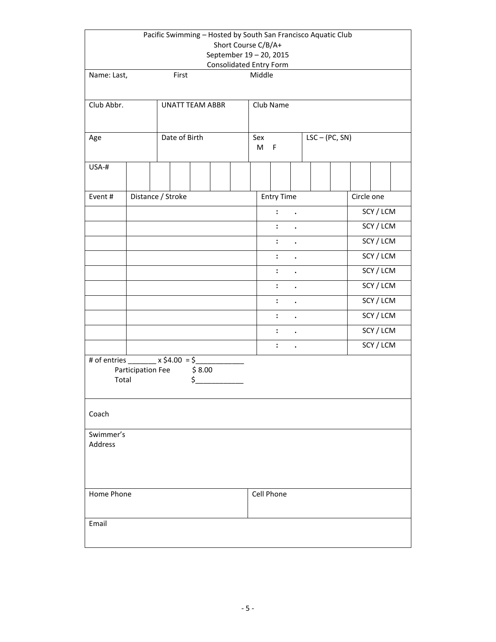|                                                    |                   |                   | Pacific Swimming - Hosted by South San Francisco Aquatic Club<br>September 19 - 20, 2015<br><b>Consolidated Entry Form</b> | Short Course C/B/A+ |            |                      |                      |                  |            |  |
|----------------------------------------------------|-------------------|-------------------|----------------------------------------------------------------------------------------------------------------------------|---------------------|------------|----------------------|----------------------|------------------|------------|--|
| Name: Last,                                        |                   | First             |                                                                                                                            |                     | Middle     |                      |                      |                  |            |  |
| Club Abbr.                                         |                   |                   | <b>UNATT TEAM ABBR</b>                                                                                                     |                     |            | Club Name            |                      |                  |            |  |
| Age                                                |                   | Date of Birth     |                                                                                                                            |                     | Sex<br>M   | F                    |                      | $LSC - (PC, SN)$ |            |  |
| USA-#                                              |                   |                   |                                                                                                                            |                     |            |                      |                      |                  |            |  |
| Event#                                             |                   | Distance / Stroke |                                                                                                                            |                     |            | <b>Entry Time</b>    |                      |                  | Circle one |  |
|                                                    |                   |                   |                                                                                                                            |                     |            | $\ddot{\cdot}$       |                      |                  | SCY / LCM  |  |
|                                                    |                   |                   |                                                                                                                            |                     |            | $\ddot{\cdot}$       | $\bullet$            |                  | SCY / LCM  |  |
|                                                    |                   |                   |                                                                                                                            |                     |            | $\ddot{\cdot}$       | $\ddot{\phantom{a}}$ |                  | SCY / LCM  |  |
|                                                    |                   |                   |                                                                                                                            |                     |            | $\ddot{\cdot}$       | $\bullet$            |                  | SCY / LCM  |  |
|                                                    |                   |                   |                                                                                                                            |                     |            | $\ddot{\cdot}$       | $\bullet$            |                  | SCY / LCM  |  |
|                                                    |                   |                   |                                                                                                                            |                     |            | $\ddot{\cdot}$       | $\bullet$            |                  | SCY / LCM  |  |
|                                                    |                   |                   |                                                                                                                            |                     |            | $\ddot{\cdot}$       | $\ddot{\phantom{0}}$ |                  | SCY / LCM  |  |
|                                                    |                   |                   |                                                                                                                            |                     |            | $\ddot{\phantom{a}}$ | $\bullet$            |                  | SCY / LCM  |  |
|                                                    |                   |                   |                                                                                                                            |                     |            | $\ddot{\cdot}$       | $\bullet$            |                  | SCY / LCM  |  |
|                                                    |                   |                   |                                                                                                                            |                     |            | $\ddot{\cdot}$       | $\bullet$            |                  | SCY / LCM  |  |
| # of entries ________ x \$4.00 = \$______<br>Total | Participation Fee |                   | \$8.00<br>\$                                                                                                               |                     |            |                      |                      |                  |            |  |
| Coach                                              |                   |                   |                                                                                                                            |                     |            |                      |                      |                  |            |  |
| Swimmer's<br>Address                               |                   |                   |                                                                                                                            |                     |            |                      |                      |                  |            |  |
| Home Phone                                         |                   |                   |                                                                                                                            |                     | Cell Phone |                      |                      |                  |            |  |
| Email                                              |                   |                   |                                                                                                                            |                     |            |                      |                      |                  |            |  |